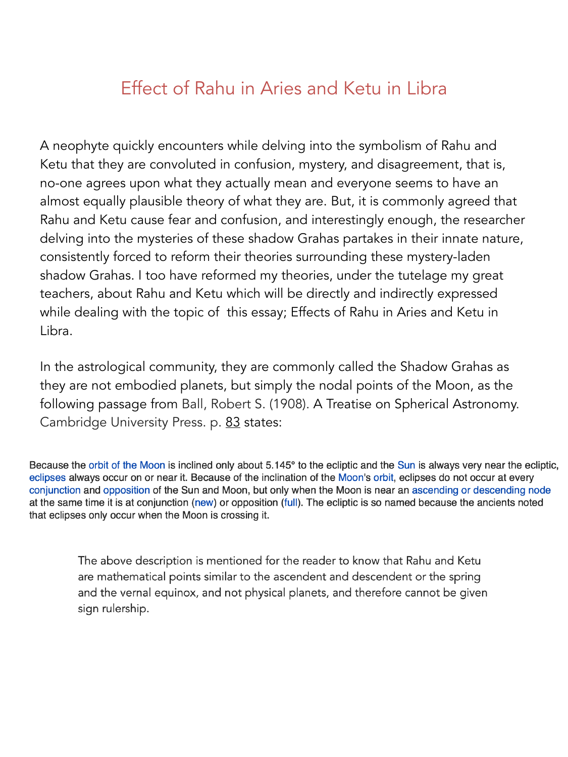# Effect of Rahu in Aries and Ketu in Libra

A neophyte quickly encounters while delving into the symbolism of Rahu and Ketu that they are convoluted in confusion, mystery, and disagreement, that is, no-one agrees upon what they actually mean and everyone seems to have an almost equally plausible theory of what they are. But, it is commonly agreed that Rahu and Ketu cause fear and confusion, and interestingly enough, the researcher delving into the mysteries of these shadow Grahas partakes in their innate nature, consistently forced to reform their theories surrounding these mystery-laden shadow Grahas. I too have reformed my theories, under the tutelage my great teachers, about Rahu and Ketu which will be directly and indirectly expressed while dealing with the topic of this essay; Effects of Rahu in Aries and Ketu in Libra.

In the astrological community, they are commonly called the Shadow Grahas as they are not embodied planets, but simply the nodal points of the Moon, as the following passage from Ball, Robert S. (1908). [A Treatise on Spherical Astronomy.](https://archive.org/details/atreatiseonsphe00ballgoog) Cambridge University Press. p. [83](https://archive.org/details/atreatiseonsphe00ballgoog/page/n98) states:

Because the orbit of the Moon is inclined only about 5.145° to the ecliptic and the Sun is always very near the ecliptic, eclipses always occur on or near it. Because of the inclination of the Moon's orbit, eclipses do not occur at every conjunction and opposition of the Sun and Moon, but only when the Moon is near an ascending or descending node at the same time it is at conjunction (new) or opposition (full). The ecliptic is so named because the ancients noted that eclipses only occur when the Moon is crossing it.

The above description is mentioned for the reader to know that Rahu and Ketu are mathematical points similar to the ascendent and descendent or the spring and the vernal equinox, and not physical planets, and therefore cannot be given sign rulership.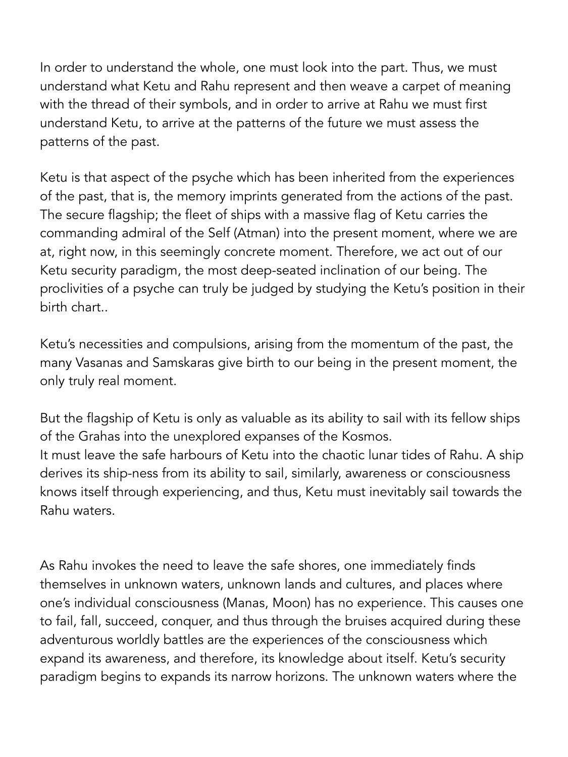In order to understand the whole, one must look into the part. Thus, we must understand what Ketu and Rahu represent and then weave a carpet of meaning with the thread of their symbols, and in order to arrive at Rahu we must first understand Ketu, to arrive at the patterns of the future we must assess the patterns of the past.

Ketu is that aspect of the psyche which has been inherited from the experiences of the past, that is, the memory imprints generated from the actions of the past. The secure flagship; the fleet of ships with a massive flag of Ketu carries the commanding admiral of the Self (Atman) into the present moment, where we are at, right now, in this seemingly concrete moment. Therefore, we act out of our Ketu security paradigm, the most deep-seated inclination of our being. The proclivities of a psyche can truly be judged by studying the Ketu's position in their birth chart..

Ketu's necessities and compulsions, arising from the momentum of the past, the many Vasanas and Samskaras give birth to our being in the present moment, the only truly real moment.

But the flagship of Ketu is only as valuable as its ability to sail with its fellow ships of the Grahas into the unexplored expanses of the Kosmos. It must leave the safe harbours of Ketu into the chaotic lunar tides of Rahu. A ship derives its ship-ness from its ability to sail, similarly, awareness or consciousness knows itself through experiencing, and thus, Ketu must inevitably sail towards the

Rahu waters.

As Rahu invokes the need to leave the safe shores, one immediately finds themselves in unknown waters, unknown lands and cultures, and places where one's individual consciousness (Manas, Moon) has no experience. This causes one to fail, fall, succeed, conquer, and thus through the bruises acquired during these adventurous worldly battles are the experiences of the consciousness which expand its awareness, and therefore, its knowledge about itself. Ketu's security paradigm begins to expands its narrow horizons. The unknown waters where the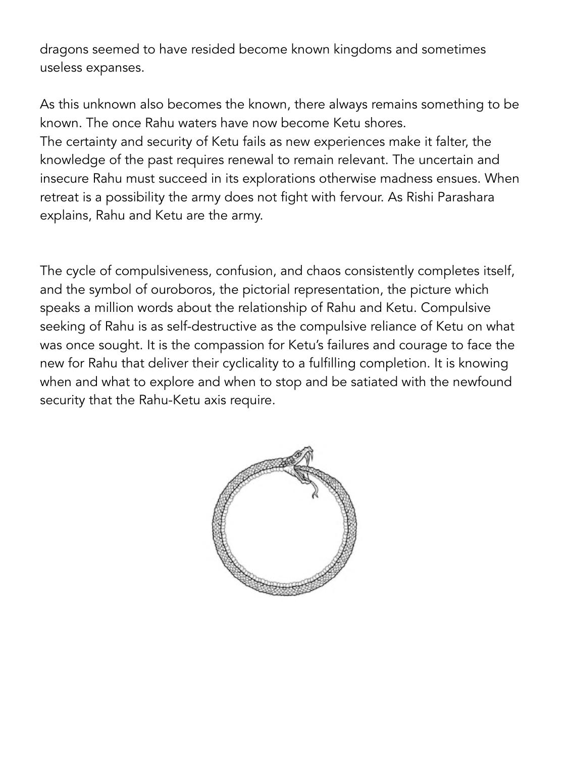dragons seemed to have resided become known kingdoms and sometimes useless expanses.

As this unknown also becomes the known, there always remains something to be known. The once Rahu waters have now become Ketu shores. The certainty and security of Ketu fails as new experiences make it falter, the knowledge of the past requires renewal to remain relevant. The uncertain and insecure Rahu must succeed in its explorations otherwise madness ensues. When retreat is a possibility the army does not fight with fervour. As Rishi Parashara explains, Rahu and Ketu are the army.

The cycle of compulsiveness, confusion, and chaos consistently completes itself, and the symbol of ouroboros, the pictorial representation, the picture which speaks a million words about the relationship of Rahu and Ketu. Compulsive seeking of Rahu is as self-destructive as the compulsive reliance of Ketu on what was once sought. It is the compassion for Ketu's failures and courage to face the new for Rahu that deliver their cyclicality to a fulfilling completion. It is knowing when and what to explore and when to stop and be satiated with the newfound security that the Rahu-Ketu axis require.

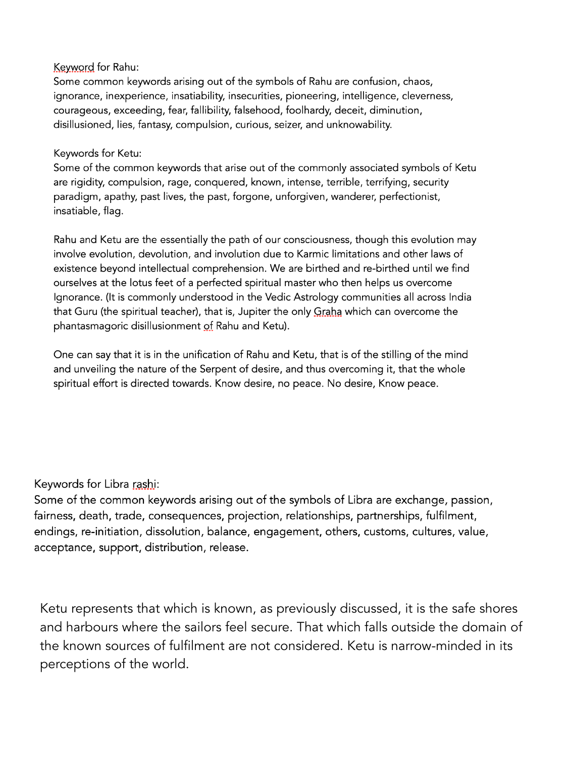#### Keyword for Rahu:

Some common keywords arising out of the symbols of Rahu are confusion, chaos, ignorance, inexperience, insatiability, insecurities, pioneering, intelligence, cleverness, courageous, exceeding, fear, fallibility, falsehood, foolhardy, deceit, diminution, disillusioned, lies, fantasy, compulsion, curious, seizer, and unknowability.

### Keywords for Ketu:

Some of the common keywords that arise out of the commonly associated symbols of Ketu are rigidity, compulsion, rage, conquered, known, intense, terrible, terrifying, security paradigm, apathy, past lives, the past, forgone, unforgiven, wanderer, perfectionist, insatiable, flag.

Rahu and Ketu are the essentially the path of our consciousness, though this evolution may involve evolution, devolution, and involution due to Karmic limitations and other laws of existence beyond intellectual comprehension. We are birthed and re-birthed until we find ourselves at the lotus feet of a perfected spiritual master who then helps us overcome Ignorance. (It is commonly understood in the Vedic Astrology communities all across India that Guru (the spiritual teacher), that is, Jupiter the only Graha which can overcome the phantasmagoric disillusionment of Rahu and Ketu).

One can say that it is in the unification of Rahu and Ketu, that is of the stilling of the mind and unveiling the nature of the Serpent of desire, and thus overcoming it, that the whole spiritual effort is directed towards. Know desire, no peace. No desire, Know peace.

## Keywords for Libra rashi:

Some of the common keywords arising out of the symbols of Libra are exchange, passion, fairness, death, trade, consequences, projection, relationships, partnerships, fulfilment, endings, re-initiation, dissolution, balance, engagement, others, customs, cultures, value, acceptance, support, distribution, release.

Ketu represents that which is known, as previously discussed, it is the safe shores and harbours where the sailors feel secure. That which falls outside the domain of the known sources of fulfilment are not considered. Ketu is narrow-minded in its perceptions of the world.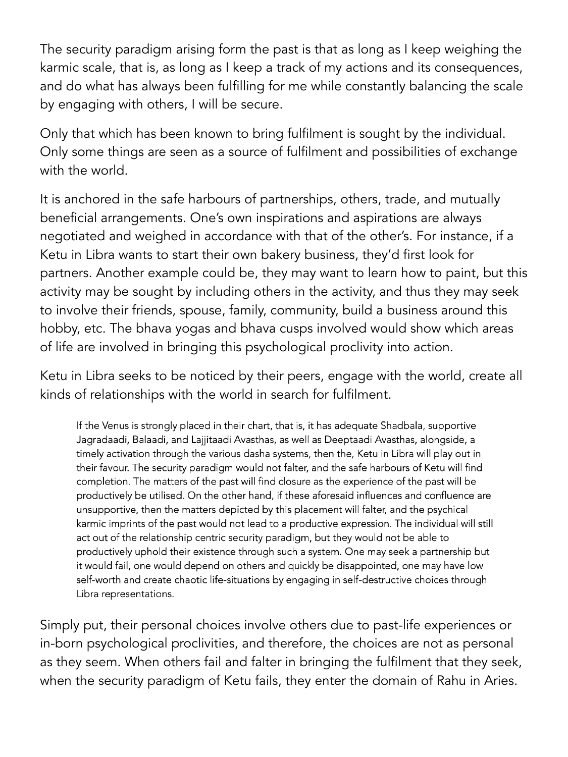The security paradigm arising form the past is that as long as I keep weighing the karmic scale, that is, as long as I keep a track of my actions and its consequences, and do what has always been fulfilling for me while constantly balancing the scale by engaging with others, I will be secure.

Only that which has been known to bring fulfilment is sought by the individual. Only some things are seen as a source of fulfilment and possibilities of exchange with the world.

It is anchored in the safe harbours of partnerships, others, trade, and mutually beneficial arrangements. One's own inspirations and aspirations are always negotiated and weighed in accordance with that of the other's. For instance, if a Ketu in Libra wants to start their own bakery business, they'd first look for partners. Another example could be, they may want to learn how to paint, but this activity may be sought by including others in the activity, and thus they may seek to involve their friends, spouse, family, community, build a business around this hobby, etc. The bhava yogas and bhava cusps involved would show which areas of life are involved in bringing this psychological proclivity into action.

Ketu in Libra seeks to be noticed by their peers, engage with the world, create all kinds of relationships with the world in search for fulfilment.

If the Venus is strongly placed in their chart, that is, it has adequate Shadbala, supportive Jagradaadi, Balaadi, and Lajjitaadi Avasthas, as well as Deeptaadi Avasthas, alongside, a timely activation through the various dasha systems, then the, Ketu in Libra will play out in their favour. The security paradigm would not falter, and the safe harbours of Ketu will find completion. The matters of the past will find closure as the experience of the past will be productively be utilised. On the other hand, if these aforesaid influences and confluence are unsupportive, then the matters depicted by this placement will falter, and the psychical karmic imprints of the past would not lead to a productive expression. The individual will still act out of the relationship centric security paradigm, but they would not be able to productively uphold their existence through such a system. One may seek a partnership but it would fail, one would depend on others and quickly be disappointed, one may have low self-worth and create chaotic life-situations by engaging in self-destructive choices through Libra representations.

Simply put, their personal choices involve others due to past-life experiences or in-born psychological proclivities, and therefore, the choices are not as personal as they seem. When others fail and falter in bringing the fulfilment that they seek, when the security paradigm of Ketu fails, they enter the domain of Rahu in Aries.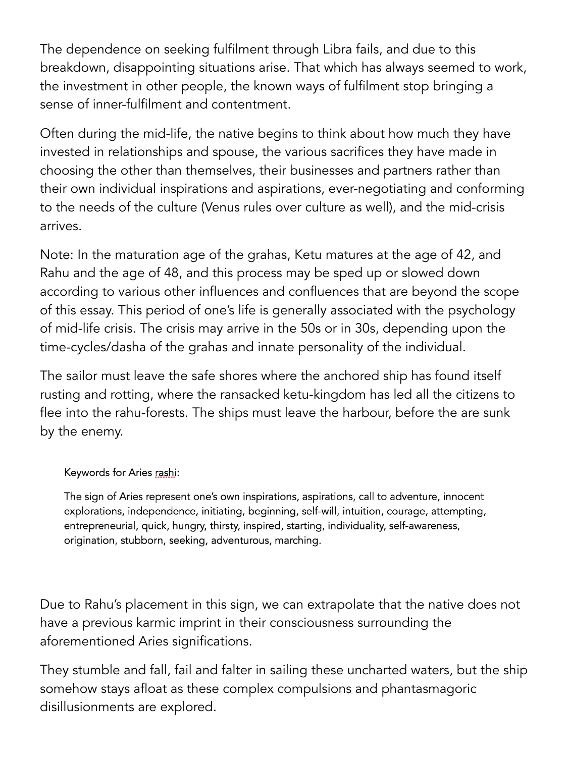The dependence on seeking fulfilment through Libra fails, and due to this breakdown, disappointing situations arise. That which has always seemed to work, the investment in other people, the known ways of fulfilment stop bringing a sense of inner-fulfilment and contentment.

Often during the mid-life, the native begins to think about how much they have invested in relationships and spouse, the various sacrifices they have made in choosing the other than themselves, their businesses and partners rather than their own individual inspirations and aspirations, ever-negotiating and conforming to the needs of the culture (Venus rules over culture as well), and the mid-crisis arrives.

Note: In the maturation age of the grahas, Ketu matures at the age of 42, and Rahu and the age of 48, and this process may be sped up or slowed down according to various other influences and confluences that are beyond the scope of this essay. This period of one's life is generally associated with the psychology of mid-life crisis. The crisis may arrive in the 50s or in 30s, depending upon the time-cycles/dasha of the grahas and innate personality of the individual.

The sailor must leave the safe shores where the anchored ship has found itself rusting and rotting, where the ransacked ketu-kingdom has led all the citizens to flee into the rahu-forests. The ships must leave the harbour, before the are sunk by the enemy.

## Keywords for Aries rashi:

The sign of Aries represent one's own inspirations, aspirations, call to adventure, innocent explorations, independence, initiating, beginning, self-will, intuition, courage, attempting, entrepreneurial, quick, hungry, thirsty, inspired, starting, individuality, self-awareness, origination, stubborn, seeking, adventurous, marching.

Due to Rahu's placement in this sign, we can extrapolate that the native does not have a previous karmic imprint in their consciousness surrounding the aforementioned Aries significations.

They stumble and fall, fail and falter in sailing these uncharted waters, but the ship somehow stays afloat as these complex compulsions and phantasmagoric disillusionments are explored.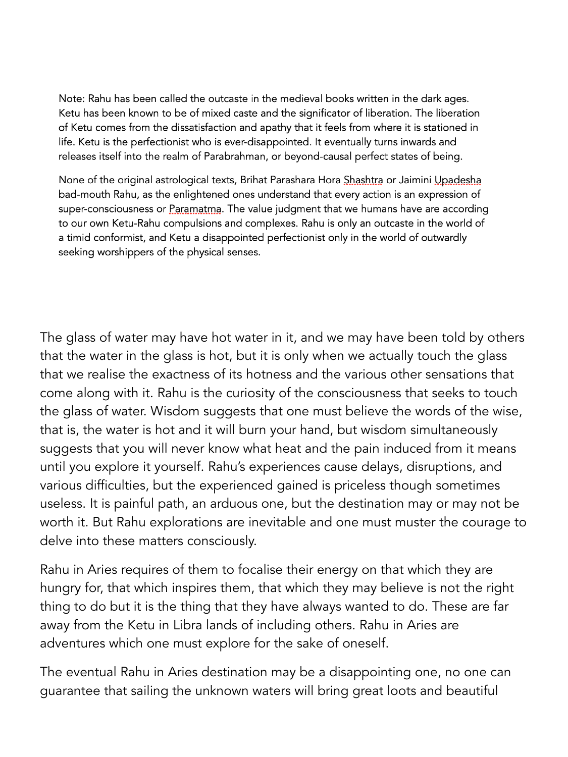Note: Rahu has been called the outcaste in the medieval books written in the dark ages. Ketu has been known to be of mixed caste and the significator of liberation. The liberation of Ketu comes from the dissatisfaction and apathy that it feels from where it is stationed in life. Ketu is the perfectionist who is ever-disappointed. It eventually turns inwards and releases itself into the realm of Parabrahman, or beyond-causal perfect states of being.

None of the original astrological texts, Brihat Parashara Hora Shashtra or Jaimini Upadesha bad-mouth Rahu, as the enlightened ones understand that every action is an expression of super-consciousness or Paramatma. The value judgment that we humans have are according to our own Ketu-Rahu compulsions and complexes. Rahu is only an outcaste in the world of a timid conformist, and Ketu a disappointed perfectionist only in the world of outwardly seeking worshippers of the physical senses.

The glass of water may have hot water in it, and we may have been told by others that the water in the glass is hot, but it is only when we actually touch the glass that we realise the exactness of its hotness and the various other sensations that come along with it. Rahu is the curiosity of the consciousness that seeks to touch the glass of water. Wisdom suggests that one must believe the words of the wise, that is, the water is hot and it will burn your hand, but wisdom simultaneously suggests that you will never know what heat and the pain induced from it means until you explore it yourself. Rahu's experiences cause delays, disruptions, and various difficulties, but the experienced gained is priceless though sometimes useless. It is painful path, an arduous one, but the destination may or may not be worth it. But Rahu explorations are inevitable and one must muster the courage to delve into these matters consciously.

Rahu in Aries requires of them to focalise their energy on that which they are hungry for, that which inspires them, that which they may believe is not the right thing to do but it is the thing that they have always wanted to do. These are far away from the Ketu in Libra lands of including others. Rahu in Aries are adventures which one must explore for the sake of oneself.

The eventual Rahu in Aries destination may be a disappointing one, no one can guarantee that sailing the unknown waters will bring great loots and beautiful